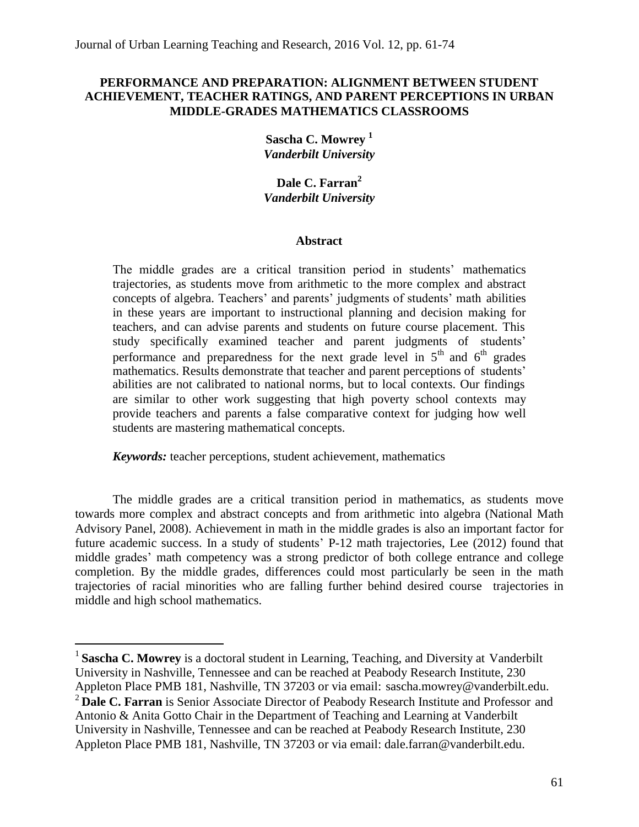# **PERFORMANCE AND PREPARATION: ALIGNMENT BETWEEN STUDENT ACHIEVEMENT, TEACHER RATINGS, AND PARENT PERCEPTIONS IN URBAN MIDDLE-GRADES MATHEMATICS CLASSROOMS**

**Sascha C. Mowrey <sup>1</sup>** *Vanderbilt University*

**Dale C. Farran<sup>2</sup>** *Vanderbilt University*

## **Abstract**

The middle grades are a critical transition period in students' mathematics trajectories, as students move from arithmetic to the more complex and abstract concepts of algebra. Teachers' and parents' judgments of students' math abilities in these years are important to instructional planning and decision making for teachers, and can advise parents and students on future course placement. This study specifically examined teacher and parent judgments of students' performance and preparedness for the next grade level in  $5<sup>th</sup>$  and  $6<sup>th</sup>$  grades mathematics. Results demonstrate that teacher and parent perceptions of students' abilities are not calibrated to national norms, but to local contexts. Our findings are similar to other work suggesting that high poverty school contexts may provide teachers and parents a false comparative context for judging how well students are mastering mathematical concepts.

*Keywords:* teacher perceptions, student achievement, mathematics

l

The middle grades are a critical transition period in mathematics, as students move towards more complex and abstract concepts and from arithmetic into algebra (National Math Advisory Panel, 2008). Achievement in math in the middle grades is also an important factor for future academic success. In a study of students' P-12 math trajectories, Lee (2012) found that middle grades' math competency was a strong predictor of both college entrance and college completion. By the middle grades, differences could most particularly be seen in the math trajectories of racial minorities who are falling further behind desired course trajectories in middle and high school mathematics.

<sup>&</sup>lt;sup>1</sup> Sascha C. Mowrey is a doctoral student in Learning, Teaching, and Diversity at Vanderbilt University in Nashville, Tennessee and can be reached at Peabody Research Institute, 230 Appleton Place PMB 181, Nashville, TN 37203 or via email: [sascha.mowrey@vanderbilt.edu.](mailto:sascha.mowrey@vanderbilt.edu) <sup>2</sup>**Dale C. Farran** is Senior Associate Director of Peabody Research Institute and Professor and Antonio & Anita Gotto Chair in the Department of Teaching and Learning at Vanderbilt University in Nashville, Tennessee and can be reached at Peabody Research Institute, 230 Appleton Place PMB 181, Nashville, TN 37203 or via email: [dale.farran@vanderbilt.edu.](mailto:dale.farran@vanderbilt.edu)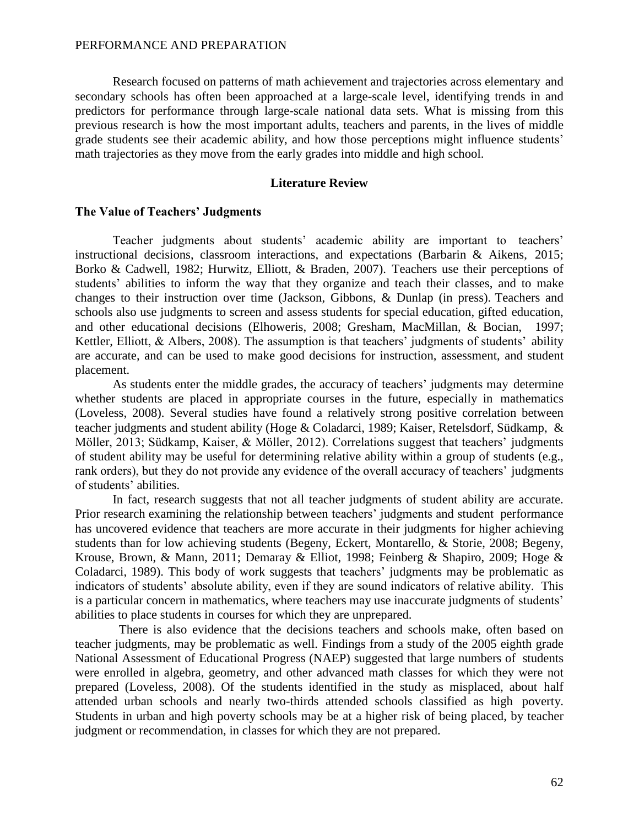Research focused on patterns of math achievement and trajectories across elementary and secondary schools has often been approached at a large-scale level, identifying trends in and predictors for performance through large-scale national data sets. What is missing from this previous research is how the most important adults, teachers and parents, in the lives of middle grade students see their academic ability, and how those perceptions might influence students' math trajectories as they move from the early grades into middle and high school.

### **Literature Review**

### **The Value of Teachers' Judgments**

Teacher judgments about students' academic ability are important to teachers' instructional decisions, classroom interactions, and expectations (Barbarin & Aikens, 2015; Borko & Cadwell, 1982; Hurwitz, Elliott, & Braden, 2007). Teachers use their perceptions of students' abilities to inform the way that they organize and teach their classes, and to make changes to their instruction over time (Jackson, Gibbons, & Dunlap (in press). Teachers and schools also use judgments to screen and assess students for special education, gifted education, and other educational decisions (Elhoweris, 2008; Gresham, MacMillan, & Bocian, 1997; Kettler, Elliott,  $\&$  Albers, 2008). The assumption is that teachers' judgments of students' ability are accurate, and can be used to make good decisions for instruction, assessment, and student placement.

As students enter the middle grades, the accuracy of teachers' judgments may determine whether students are placed in appropriate courses in the future, especially in mathematics (Loveless, 2008). Several studies have found a relatively strong positive correlation between teacher judgments and student ability (Hoge & Coladarci, 1989; Kaiser, Retelsdorf, Südkamp, & Möller, 2013; Südkamp, Kaiser, & Möller, 2012). Correlations suggest that teachers' judgments of student ability may be useful for determining relative ability within a group of students (e.g., rank orders), but they do not provide any evidence of the overall accuracy of teachers' judgments of students' abilities.

In fact, research suggests that not all teacher judgments of student ability are accurate. Prior research examining the relationship between teachers' judgments and student performance has uncovered evidence that teachers are more accurate in their judgments for higher achieving students than for low achieving students (Begeny, Eckert, Montarello, & Storie, 2008; Begeny, Krouse, Brown, & Mann, 2011; Demaray & Elliot, 1998; Feinberg & Shapiro, 2009; Hoge & Coladarci, 1989). This body of work suggests that teachers' judgments may be problematic as indicators of students' absolute ability, even if they are sound indicators of relative ability. This is a particular concern in mathematics, where teachers may use inaccurate judgments of students' abilities to place students in courses for which they are unprepared.

There is also evidence that the decisions teachers and schools make, often based on teacher judgments, may be problematic as well. Findings from a study of the 2005 eighth grade National Assessment of Educational Progress (NAEP) suggested that large numbers of students were enrolled in algebra, geometry, and other advanced math classes for which they were not prepared (Loveless, 2008). Of the students identified in the study as misplaced, about half attended urban schools and nearly two-thirds attended schools classified as high poverty. Students in urban and high poverty schools may be at a higher risk of being placed, by teacher judgment or recommendation, in classes for which they are not prepared.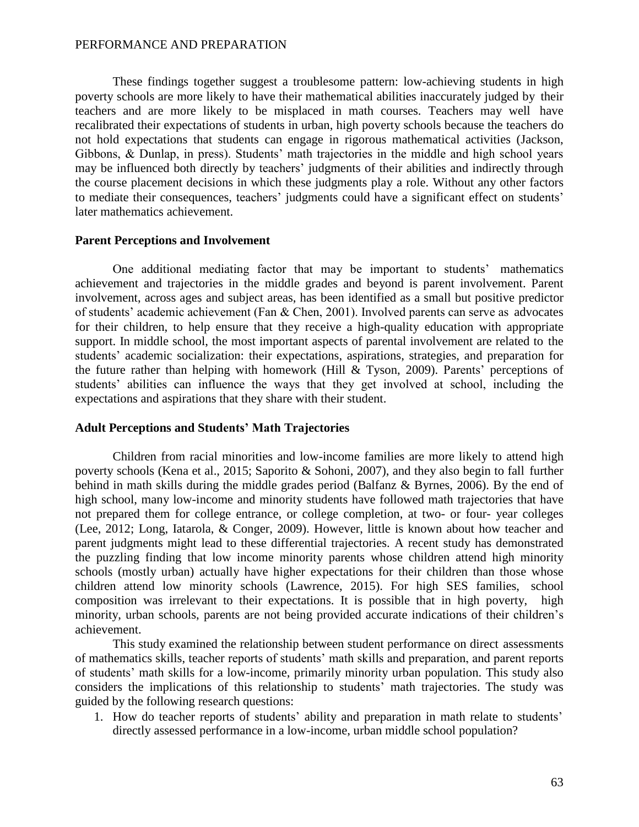These findings together suggest a troublesome pattern: low-achieving students in high poverty schools are more likely to have their mathematical abilities inaccurately judged by their teachers and are more likely to be misplaced in math courses. Teachers may well have recalibrated their expectations of students in urban, high poverty schools because the teachers do not hold expectations that students can engage in rigorous mathematical activities (Jackson, Gibbons, & Dunlap, in press). Students' math trajectories in the middle and high school years may be influenced both directly by teachers' judgments of their abilities and indirectly through the course placement decisions in which these judgments play a role. Without any other factors to mediate their consequences, teachers' judgments could have a significant effect on students' later mathematics achievement.

# **Parent Perceptions and Involvement**

One additional mediating factor that may be important to students' mathematics achievement and trajectories in the middle grades and beyond is parent involvement. Parent involvement, across ages and subject areas, has been identified as a small but positive predictor of students' academic achievement (Fan & Chen, 2001). Involved parents can serve as advocates for their children, to help ensure that they receive a high-quality education with appropriate support. In middle school, the most important aspects of parental involvement are related to the students' academic socialization: their expectations, aspirations, strategies, and preparation for the future rather than helping with homework (Hill & Tyson, 2009). Parents' perceptions of students' abilities can influence the ways that they get involved at school, including the expectations and aspirations that they share with their student.

#### **Adult Perceptions and Students' Math Trajectories**

Children from racial minorities and low-income families are more likely to attend high poverty schools (Kena et al., 2015; Saporito & Sohoni, 2007), and they also begin to fall further behind in math skills during the middle grades period (Balfanz & Byrnes, 2006). By the end of high school, many low-income and minority students have followed math trajectories that have not prepared them for college entrance, or college completion, at two- or four- year colleges (Lee, 2012; Long, Iatarola, & Conger, 2009). However, little is known about how teacher and parent judgments might lead to these differential trajectories. A recent study has demonstrated the puzzling finding that low income minority parents whose children attend high minority schools (mostly urban) actually have higher expectations for their children than those whose children attend low minority schools (Lawrence, 2015). For high SES families, school composition was irrelevant to their expectations. It is possible that in high poverty, high minority, urban schools, parents are not being provided accurate indications of their children's achievement.

This study examined the relationship between student performance on direct assessments of mathematics skills, teacher reports of students' math skills and preparation, and parent reports of students' math skills for a low-income, primarily minority urban population. This study also considers the implications of this relationship to students' math trajectories. The study was guided by the following research questions:

1. How do teacher reports of students' ability and preparation in math relate to students' directly assessed performance in a low-income, urban middle school population?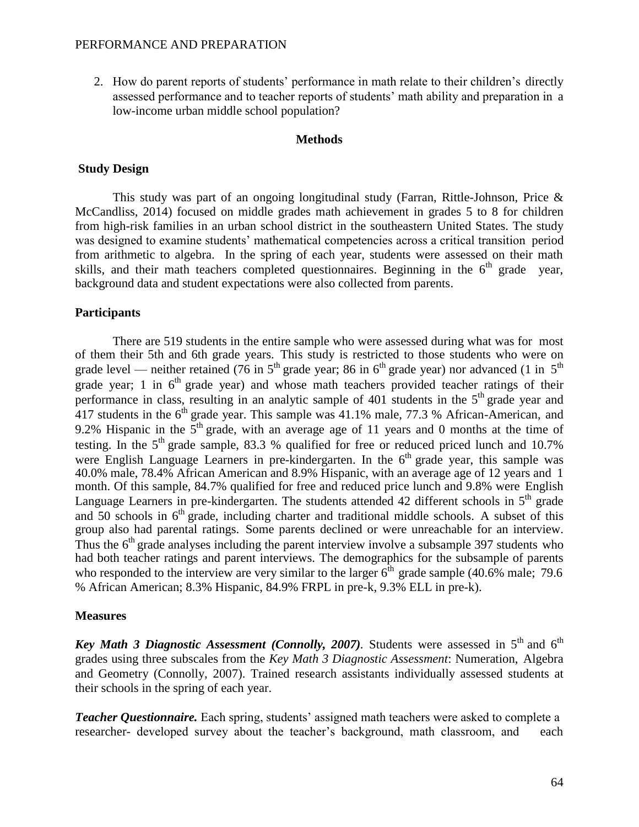2. How do parent reports of students' performance in math relate to their children's directly assessed performance and to teacher reports of students' math ability and preparation in a low-income urban middle school population?

#### **Methods**

### **Study Design**

This study was part of an ongoing longitudinal study (Farran, Rittle-Johnson, Price & McCandliss, 2014) focused on middle grades math achievement in grades 5 to 8 for children from high-risk families in an urban school district in the southeastern United States. The study was designed to examine students' mathematical competencies across a critical transition period from arithmetic to algebra. In the spring of each year, students were assessed on their math skills, and their math teachers completed questionnaires. Beginning in the  $6<sup>th</sup>$  grade year, background data and student expectations were also collected from parents.

## **Participants**

There are 519 students in the entire sample who were assessed during what was for most of them their 5th and 6th grade years. This study is restricted to those students who were on grade level — neither retained (76 in  $5<sup>th</sup>$  grade year; 86 in 6<sup>th</sup> grade year) nor advanced (1 in  $5<sup>th</sup>$ grade year; 1 in  $6<sup>th</sup>$  grade year) and whose math teachers provided teacher ratings of their performance in class, resulting in an analytic sample of  $401$  students in the  $5<sup>th</sup>$  grade year and  $417$  students in the  $6<sup>th</sup>$  grade year. This sample was 41.1% male, 77.3 % African-American, and 9.2% Hispanic in the  $5<sup>th</sup>$  grade, with an average age of 11 years and 0 months at the time of testing. In the  $5<sup>th</sup>$  grade sample, 83.3 % qualified for free or reduced priced lunch and 10.7% were English Language Learners in pre-kindergarten. In the  $6<sup>th</sup>$  grade year, this sample was 40.0% male, 78.4% African American and 8.9% Hispanic, with an average age of 12 years and 1 month. Of this sample, 84.7% qualified for free and reduced price lunch and 9.8% were English Language Learners in pre-kindergarten. The students attended 42 different schools in  $5<sup>th</sup>$  grade and 50 schools in  $6<sup>th</sup>$  grade, including charter and traditional middle schools. A subset of this group also had parental ratings. Some parents declined or were unreachable for an interview. Thus the  $6<sup>th</sup>$  grade analyses including the parent interview involve a subsample 397 students who had both teacher ratings and parent interviews. The demographics for the subsample of parents who responded to the interview are very similar to the larger  $6<sup>th</sup>$  grade sample (40.6% male; 79.6) % African American; 8.3% Hispanic, 84.9% FRPL in pre-k, 9.3% ELL in pre-k).

# **Measures**

Key *Math 3 Diagnostic Assessment (Connolly, 2007).* Students were assessed in 5<sup>th</sup> and 6<sup>th</sup> grades using three subscales from the *Key Math 3 Diagnostic Assessment*: Numeration, Algebra and Geometry (Connolly, 2007). Trained research assistants individually assessed students at their schools in the spring of each year.

*Teacher Questionnaire.* Each spring, students' assigned math teachers were asked to complete a researcher- developed survey about the teacher's background, math classroom, and each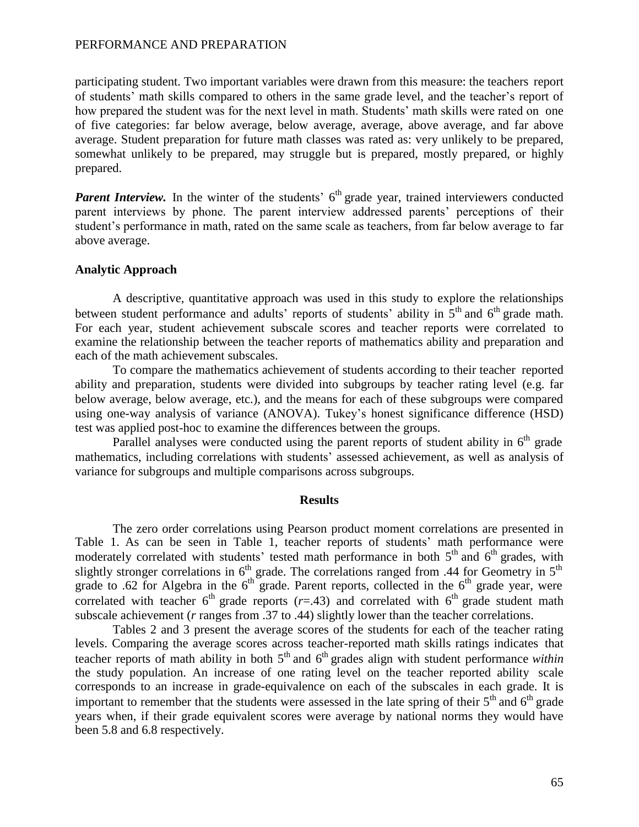participating student. Two important variables were drawn from this measure: the teachers report of students' math skills compared to others in the same grade level, and the teacher's report of how prepared the student was for the next level in math. Students' math skills were rated on one of five categories: far below average, below average, average, above average, and far above average. Student preparation for future math classes was rated as: very unlikely to be prepared, somewhat unlikely to be prepared, may struggle but is prepared, mostly prepared, or highly prepared.

**Parent Interview.** In the winter of the students' 6<sup>th</sup> grade year, trained interviewers conducted parent interviews by phone. The parent interview addressed parents' perceptions of their student's performance in math, rated on the same scale as teachers, from far below average to far above average.

## **Analytic Approach**

A descriptive, quantitative approach was used in this study to explore the relationships between student performance and adults' reports of students' ability in  $5<sup>th</sup>$  and  $6<sup>th</sup>$  grade math. For each year, student achievement subscale scores and teacher reports were correlated to examine the relationship between the teacher reports of mathematics ability and preparation and each of the math achievement subscales.

To compare the mathematics achievement of students according to their teacher reported ability and preparation, students were divided into subgroups by teacher rating level (e.g. far below average, below average, etc.), and the means for each of these subgroups were compared using one-way analysis of variance (ANOVA). Tukey's honest significance difference (HSD) test was applied post-hoc to examine the differences between the groups.

Parallel analyses were conducted using the parent reports of student ability in  $6<sup>th</sup>$  grade mathematics, including correlations with students' assessed achievement, as well as analysis of variance for subgroups and multiple comparisons across subgroups.

### **Results**

The zero order correlations using Pearson product moment correlations are presented in Table 1. As can be seen in Table 1, teacher reports of students' math performance were moderately correlated with students' tested math performance in both  $5<sup>th</sup>$  and  $6<sup>th</sup>$  grades, with slightly stronger correlations in  $6<sup>th</sup>$  grade. The correlations ranged from .44 for Geometry in  $5<sup>th</sup>$ grade to .62 for Algebra in the  $6<sup>th</sup>$  grade. Parent reports, collected in the  $6<sup>th</sup>$  grade year, were correlated with teacher  $6<sup>th</sup>$  grade reports ( $r = .43$ ) and correlated with  $6<sup>th</sup>$  grade student math subscale achievement (*r* ranges from .37 to .44) slightly lower than the teacher correlations.

Tables 2 and 3 present the average scores of the students for each of the teacher rating levels. Comparing the average scores across teacher-reported math skills ratings indicates that teacher reports of math ability in both 5<sup>th</sup> and 6<sup>th</sup> grades align with student performance *within* the study population. An increase of one rating level on the teacher reported ability scale corresponds to an increase in grade-equivalence on each of the subscales in each grade. It is important to remember that the students were assessed in the late spring of their  $5<sup>th</sup>$  and  $6<sup>th</sup>$  grade years when, if their grade equivalent scores were average by national norms they would have been 5.8 and 6.8 respectively.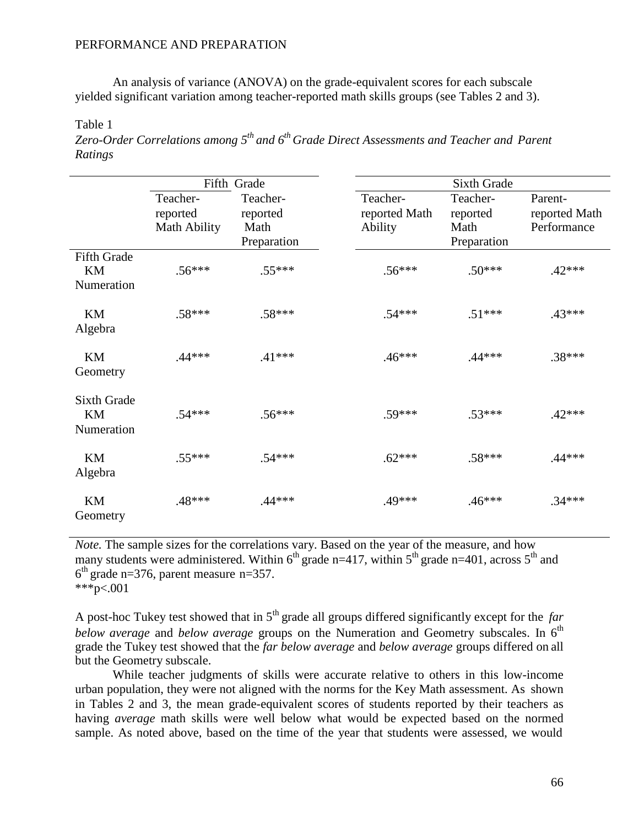An analysis of variance (ANOVA) on the grade-equivalent scores for each subscale yielded significant variation among teacher-reported math skills groups (see Tables 2 and 3).

Table 1

*Zero-Order Correlations among 5th and 6th Grade Direct Assessments and Teacher and Parent Ratings*

|                                        |                                             | Fifth Grade                                 |                                      | <b>Sixth Grade</b>                          |                                         |  |  |  |
|----------------------------------------|---------------------------------------------|---------------------------------------------|--------------------------------------|---------------------------------------------|-----------------------------------------|--|--|--|
|                                        | Teacher-<br>reported<br><b>Math Ability</b> | Teacher-<br>reported<br>Math<br>Preparation | Teacher-<br>reported Math<br>Ability | Teacher-<br>reported<br>Math<br>Preparation | Parent-<br>reported Math<br>Performance |  |  |  |
| <b>Fifth Grade</b><br>KM<br>Numeration | $.56***$                                    | $.55***$                                    | $.56***$                             | $.50***$                                    | $.42***$                                |  |  |  |
| KM<br>Algebra                          | $.58***$                                    | $.58***$                                    | $.54***$                             | $.51***$                                    | $.43***$                                |  |  |  |
| KM<br>Geometry                         | $.44***$                                    | $.41***$                                    | $.46***$                             | $.44***$                                    | $.38***$                                |  |  |  |
| <b>Sixth Grade</b><br>KM<br>Numeration | $.54***$                                    | $.56***$                                    | .59***                               | $.53***$                                    | $.42***$                                |  |  |  |
| KM<br>Algebra                          | $.55***$                                    | $.54***$                                    | $.62***$                             | $.58***$                                    | $.44***$                                |  |  |  |
| KM<br>Geometry                         | .48***                                      | $.44***$                                    | .49***                               | $.46***$                                    | $.34***$                                |  |  |  |

*Note*. The sample sizes for the correlations vary. Based on the year of the measure, and how many students were administered. Within  $6<sup>th</sup>$  grade n=417, within  $5<sup>th</sup>$  grade n=401, across  $5<sup>th</sup>$  and  $6<sup>th</sup>$  grade n=376, parent measure n=357. \*\*\*p<.001

A post-hoc Tukey test showed that in 5<sup>th</sup> grade all groups differed significantly except for the *far* below *average* and *below average* groups on the Numeration and Geometry subscales. In 6<sup>th</sup> grade the Tukey test showed that the *far below average* and *below average* groups differed on all but the Geometry subscale.

While teacher judgments of skills were accurate relative to others in this low-income urban population, they were not aligned with the norms for the Key Math assessment. As shown in Tables 2 and 3, the mean grade-equivalent scores of students reported by their teachers as having *average* math skills were well below what would be expected based on the normed sample. As noted above, based on the time of the year that students were assessed, we would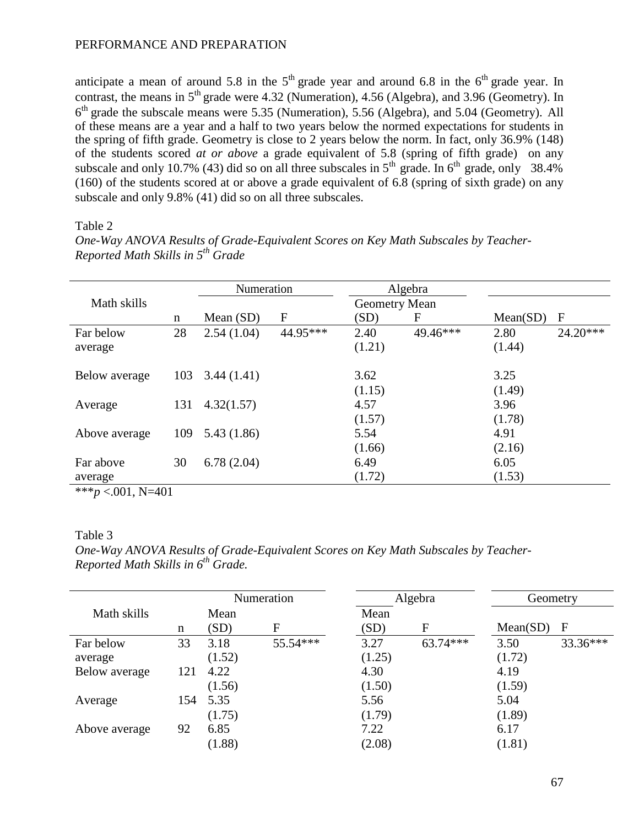anticipate a mean of around 5.8 in the  $5<sup>th</sup>$  grade year and around 6.8 in the  $6<sup>th</sup>$  grade year. In contrast, the means in  $5<sup>th</sup>$  grade were 4.32 (Numeration), 4.56 (Algebra), and 3.96 (Geometry). In 6<sup>th</sup> grade the subscale means were 5.35 (Numeration), 5.56 (Algebra), and 5.04 (Geometry). All of these means are a year and a half to two years below the normed expectations for students in the spring of fifth grade. Geometry is close to 2 years below the norm. In fact, only 36.9% (148) of the students scored *at or above* a grade equivalent of 5.8 (spring of fifth grade) on any subscale and only 10.7% (43) did so on all three subscales in  $5<sup>th</sup>$  grade. In  $6<sup>th</sup>$  grade, only 38.4% (160) of the students scored at or above a grade equivalent of 6.8 (spring of sixth grade) on any subscale and only 9.8% (41) did so on all three subscales.

*One-Way ANOVA Results of Grade-Equivalent Scores on Key Math Subscales by Teacher-*

## Table 2

|               |     | Numeration  |                  | Algebra       |          |          |              |
|---------------|-----|-------------|------------------|---------------|----------|----------|--------------|
| Math skills   |     |             |                  | Geometry Mean |          |          |              |
|               | n   | Mean $(SD)$ | $\boldsymbol{F}$ | (SD)          | F        | Mean(SD) | $\mathbf{F}$ |
| Far below     | 28  | 2.54(1.04)  | 44.95***         | 2.40          | 49.46*** | 2.80     | $24.20***$   |
| average       |     |             |                  | (1.21)        |          | (1.44)   |              |
| Below average | 103 | 3.44(1.41)  |                  | 3.62          |          | 3.25     |              |
|               |     |             |                  | (1.15)        |          | (1.49)   |              |
| Average       | 131 | 4.32(1.57)  |                  | 4.57          |          | 3.96     |              |
|               |     |             |                  | (1.57)        |          | (1.78)   |              |
| Above average | 109 | 5.43(1.86)  |                  | 5.54          |          | 4.91     |              |
|               |     |             |                  | (1.66)        |          | (2.16)   |              |
| Far above     | 30  | 6.78(2.04)  |                  | 6.49          |          | 6.05     |              |
| average       |     |             |                  | (1.72)        |          | (1.53)   |              |

*Reported Math Skills in 5th Grade*

 $***p < .001$ , N=401

# Table 3

*One-Way ANOVA Results of Grade-Equivalent Scores on Key Math Subscales by Teacher-Reported Math Skills in 6th Grade.*

|               |     |        | Numeration | Algebra |            | Geometry |          |
|---------------|-----|--------|------------|---------|------------|----------|----------|
| Math skills   |     | Mean   |            | Mean    |            |          |          |
|               | n   | (SD)   | F          | (SD)    | F          | Mean(SD) | F        |
| Far below     | 33  | 3.18   | 55.54***   | 3.27    | $63.74***$ | 3.50     | 33.36*** |
| average       |     | (1.52) |            | (1.25)  |            | (1.72)   |          |
| Below average | 121 | 4.22   |            | 4.30    |            | 4.19     |          |
|               |     | (1.56) |            | (1.50)  |            | (1.59)   |          |
| Average       | 154 | 5.35   |            | 5.56    |            | 5.04     |          |
|               |     | (1.75) |            | (1.79)  |            | (1.89)   |          |
| Above average | 92  | 6.85   |            | 7.22    |            | 6.17     |          |
|               |     | (1.88) |            | (2.08)  |            | (1.81)   |          |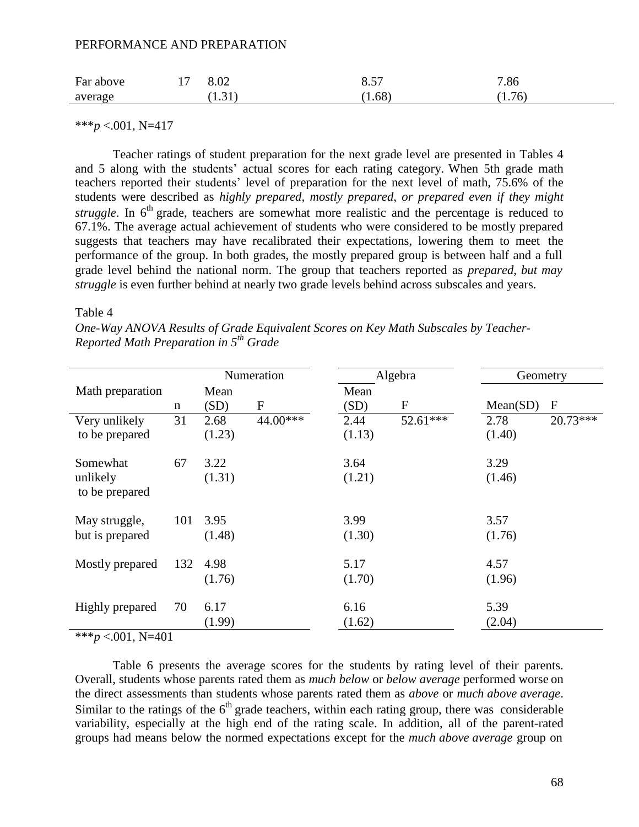| Far above | 8.02   | Q <sub>57</sub><br>0.3 <sub>1</sub> | 7.86   |
|-----------|--------|-------------------------------------|--------|
| average   | (1.31) | (1.68)                              | (1.76) |

 $***p < .001$ , N=417

Teacher ratings of student preparation for the next grade level are presented in Tables 4 and 5 along with the students' actual scores for each rating category. When 5th grade math teachers reported their students' level of preparation for the next level of math, 75.6% of the students were described as *highly prepared*, *mostly prepared*, *or prepared even if they might* struggle. In 6<sup>th</sup> grade, teachers are somewhat more realistic and the percentage is reduced to 67.1%. The average actual achievement of students who were considered to be mostly prepared suggests that teachers may have recalibrated their expectations, lowering them to meet the performance of the group. In both grades, the mostly prepared group is between half and a full grade level behind the national norm. The group that teachers reported as *prepared, but may struggle* is even further behind at nearly two grade levels behind across subscales and years.

Table 4

*One-Way ANOVA Results of Grade Equivalent Scores on Key Math Subscales by Teacher-Reported Math Preparation in 5th Grade*

| Numeration                 |     |        |           | Algebra | Geometry     |          |              |
|----------------------------|-----|--------|-----------|---------|--------------|----------|--------------|
| Math preparation           |     | Mean   |           | Mean    |              |          |              |
|                            | n   | (SD)   | ${\bf F}$ | (SD)    | $\mathbf{F}$ | Mean(SD) | $\mathbf{F}$ |
| Very unlikely              | 31  | 2.68   | 44.00***  | 2.44    | 52.61***     | 2.78     | $20.73***$   |
| to be prepared             |     | (1.23) |           | (1.13)  |              | (1.40)   |              |
| Somewhat                   | 67  | 3.22   |           | 3.64    |              | 3.29     |              |
| unlikely<br>to be prepared |     | (1.31) |           | (1.21)  |              | (1.46)   |              |
| May struggle,              | 101 | 3.95   |           | 3.99    |              | 3.57     |              |
| but is prepared            |     | (1.48) |           | (1.30)  |              | (1.76)   |              |
| Mostly prepared            | 132 | 4.98   |           | 5.17    |              | 4.57     |              |
|                            |     | (1.76) |           | (1.70)  |              | (1.96)   |              |
| Highly prepared            | 70  | 6.17   |           | 6.16    |              | 5.39     |              |
| $\cdots$ $\cdots$          |     | (1.99) |           | (1.62)  |              | (2.04)   |              |

\*\*\**p* <.001, N=401

Table 6 presents the average scores for the students by rating level of their parents. Overall, students whose parents rated them as *much below* or *below average* performed worse on the direct assessments than students whose parents rated them as *above* or *much above average*. Similar to the ratings of the  $6<sup>th</sup>$  grade teachers, within each rating group, there was considerable variability, especially at the high end of the rating scale. In addition, all of the parent-rated groups had means below the normed expectations except for the *much above average* group on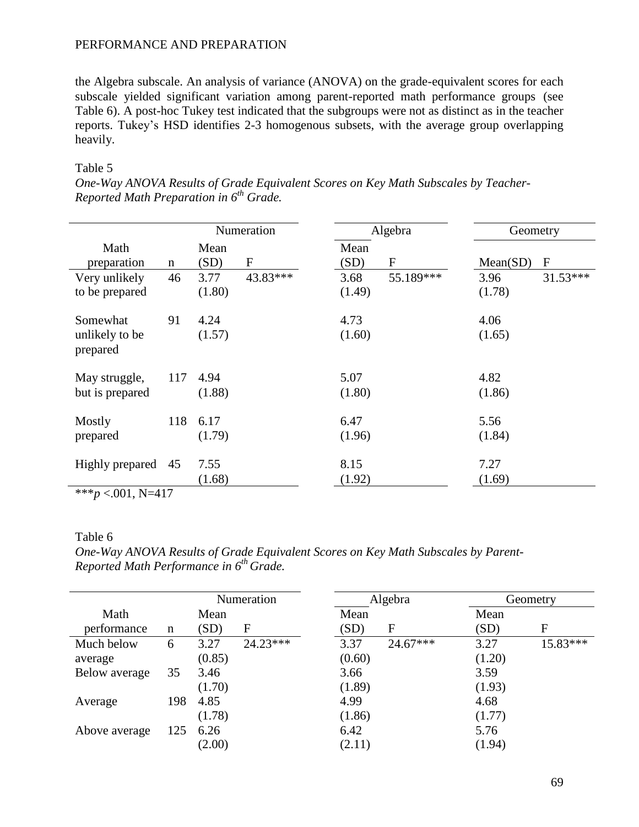the Algebra subscale. An analysis of variance (ANOVA) on the grade-equivalent scores for each subscale yielded significant variation among parent-reported math performance groups (see Table 6). A post-hoc Tukey test indicated that the subgroups were not as distinct as in the teacher reports. Tukey's HSD identifies 2-3 homogenous subsets, with the average group overlapping heavily.

# Table 5

| One-Way ANOVA Results of Grade Equivalent Scores on Key Math Subscales by Teacher- |  |  |  |
|------------------------------------------------------------------------------------|--|--|--|
| Reported Math Preparation in 6 <sup>th</sup> Grade.                                |  |  |  |

|                                                     |             |                | Numeration |                | Algebra                   | Geometry       |              |
|-----------------------------------------------------|-------------|----------------|------------|----------------|---------------------------|----------------|--------------|
| Math<br>preparation                                 | $\mathbf n$ | Mean<br>(SD)   | ${\bf F}$  | Mean<br>(SD)   | $\boldsymbol{\mathrm{F}}$ | Mean(SD)       | $\mathbf{F}$ |
| Very unlikely<br>to be prepared                     | 46          | 3.77<br>(1.80) | 43.83***   | 3.68<br>(1.49) | 55.189***                 | 3.96<br>(1.78) | $31.53***$   |
| Somewhat<br>unlikely to be<br>prepared              | 91          | 4.24<br>(1.57) |            | 4.73<br>(1.60) |                           | 4.06<br>(1.65) |              |
| May struggle,<br>but is prepared                    | 117         | 4.94<br>(1.88) |            | 5.07<br>(1.80) |                           | 4.82<br>(1.86) |              |
| Mostly<br>prepared                                  | 118         | 6.17<br>(1.79) |            | 6.47<br>(1.96) |                           | 5.56<br>(1.84) |              |
| Highly prepared<br>standards.<br>$0.01 \times 1.17$ | 45          | 7.55<br>(1.68) |            | 8.15<br>(1.92) |                           | 7.27<br>(1.69) |              |

\*\*\**p* <.001, N=417

# Table 6

*One-Way ANOVA Results of Grade Equivalent Scores on Key Math Subscales by Parent-Reported Math Performance in 6th Grade.*

|               | Numeration |        |            | Algebra |            |        | Geometry |  |
|---------------|------------|--------|------------|---------|------------|--------|----------|--|
| Math          |            | Mean   |            | Mean    |            | Mean   |          |  |
| performance   | n          | (SD)   | F          | (SD)    | F          | (SD)   | F        |  |
| Much below    | 6          | 3.27   | $24.23***$ | 3.37    | $24.67***$ | 3.27   | 15.83*** |  |
| average       |            | (0.85) |            | (0.60)  |            | (1.20) |          |  |
| Below average | 35         | 3.46   |            | 3.66    |            | 3.59   |          |  |
|               |            | (1.70) |            | (1.89)  |            | (1.93) |          |  |
| Average       | 198        | 4.85   |            | 4.99    |            | 4.68   |          |  |
|               |            | (1.78) |            | (1.86)  |            | (1.77) |          |  |
| Above average | 125        | 6.26   |            | 6.42    |            | 5.76   |          |  |
|               |            | (2.00) |            | (2.11)  |            | (1.94) |          |  |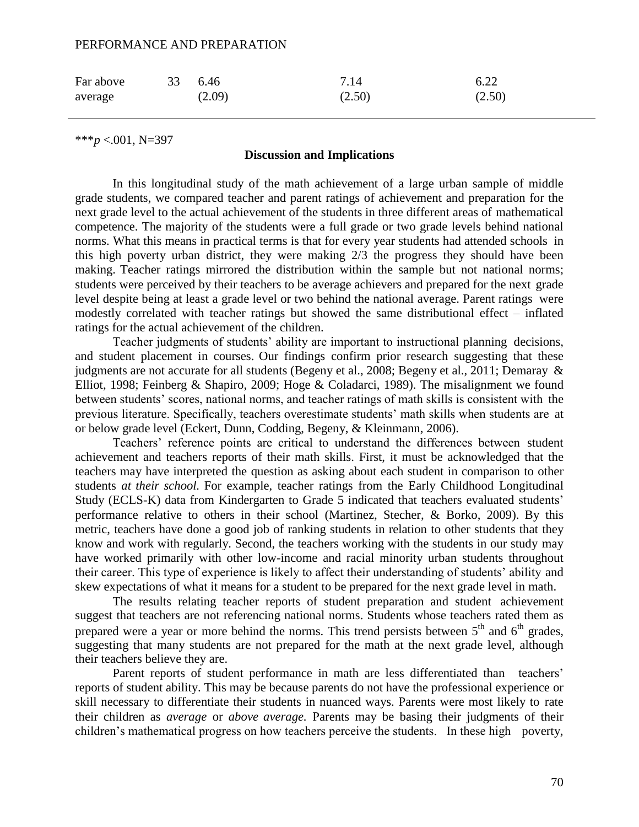| Far above | 33 6.46 |        | 7.14   | 6.22   |
|-----------|---------|--------|--------|--------|
| average   |         | (2.09) | (2.50) | (2.50) |

\*\*\**p* <.001, N=397

# **Discussion and Implications**

In this longitudinal study of the math achievement of a large urban sample of middle grade students, we compared teacher and parent ratings of achievement and preparation for the next grade level to the actual achievement of the students in three different areas of mathematical competence. The majority of the students were a full grade or two grade levels behind national norms. What this means in practical terms is that for every year students had attended schools in this high poverty urban district, they were making 2/3 the progress they should have been making. Teacher ratings mirrored the distribution within the sample but not national norms; students were perceived by their teachers to be average achievers and prepared for the next grade level despite being at least a grade level or two behind the national average. Parent ratings were modestly correlated with teacher ratings but showed the same distributional effect – inflated ratings for the actual achievement of the children.

Teacher judgments of students' ability are important to instructional planning decisions, and student placement in courses. Our findings confirm prior research suggesting that these judgments are not accurate for all students (Begeny et al., 2008; Begeny et al., 2011; Demaray & Elliot, 1998; Feinberg & Shapiro, 2009; Hoge & Coladarci, 1989). The misalignment we found between students' scores, national norms, and teacher ratings of math skills is consistent with the previous literature. Specifically, teachers overestimate students' math skills when students are at or below grade level (Eckert, Dunn, Codding, Begeny, & Kleinmann, 2006).

Teachers' reference points are critical to understand the differences between student achievement and teachers reports of their math skills. First, it must be acknowledged that the teachers may have interpreted the question as asking about each student in comparison to other students *at their school.* For example, teacher ratings from the Early Childhood Longitudinal Study (ECLS-K) data from Kindergarten to Grade 5 indicated that teachers evaluated students' performance relative to others in their school (Martinez, Stecher, & Borko, 2009). By this metric, teachers have done a good job of ranking students in relation to other students that they know and work with regularly. Second, the teachers working with the students in our study may have worked primarily with other low-income and racial minority urban students throughout their career. This type of experience is likely to affect their understanding of students' ability and skew expectations of what it means for a student to be prepared for the next grade level in math.

The results relating teacher reports of student preparation and student achievement suggest that teachers are not referencing national norms. Students whose teachers rated them as prepared were a year or more behind the norms. This trend persists between  $5<sup>th</sup>$  and  $6<sup>th</sup>$  grades, suggesting that many students are not prepared for the math at the next grade level, although their teachers believe they are.

Parent reports of student performance in math are less differentiated than teachers' reports of student ability. This may be because parents do not have the professional experience or skill necessary to differentiate their students in nuanced ways. Parents were most likely to rate their children as *average* or *above average.* Parents may be basing their judgments of their children's mathematical progress on how teachers perceive the students. In these high poverty,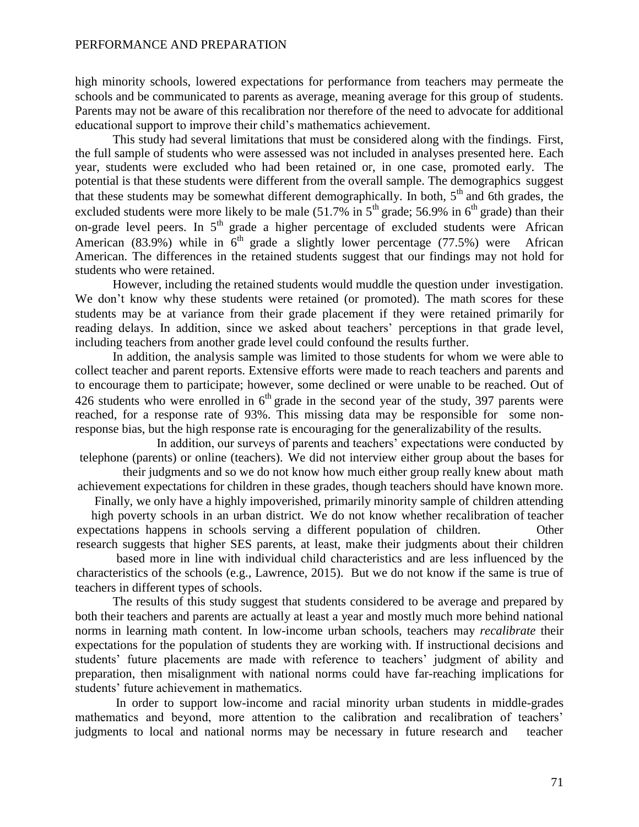high minority schools, lowered expectations for performance from teachers may permeate the schools and be communicated to parents as average, meaning average for this group of students. Parents may not be aware of this recalibration nor therefore of the need to advocate for additional educational support to improve their child's mathematics achievement.

This study had several limitations that must be considered along with the findings. First, the full sample of students who were assessed was not included in analyses presented here. Each year, students were excluded who had been retained or, in one case, promoted early. The potential is that these students were different from the overall sample. The demographics suggest that these students may be somewhat different demographically. In both,  $5<sup>th</sup>$  and 6th grades, the excluded students were more likely to be male  $(51.7\% \text{ in } 5^{\text{th}} \text{ grade}; 56.9\% \text{ in } 6^{\text{th}} \text{ grade})$  than their on-grade level peers. In  $5<sup>th</sup>$  grade a higher percentage of excluded students were African American (83.9%) while in  $6<sup>th</sup>$  grade a slightly lower percentage (77.5%) were African American. The differences in the retained students suggest that our findings may not hold for students who were retained.

However, including the retained students would muddle the question under investigation. We don't know why these students were retained (or promoted). The math scores for these students may be at variance from their grade placement if they were retained primarily for reading delays. In addition, since we asked about teachers' perceptions in that grade level, including teachers from another grade level could confound the results further.

In addition, the analysis sample was limited to those students for whom we were able to collect teacher and parent reports. Extensive efforts were made to reach teachers and parents and to encourage them to participate; however, some declined or were unable to be reached. Out of 426 students who were enrolled in  $6<sup>th</sup>$  grade in the second year of the study, 397 parents were reached, for a response rate of 93%. This missing data may be responsible for some nonresponse bias, but the high response rate is encouraging for the generalizability of the results.

In addition, our surveys of parents and teachers' expectations were conducted by telephone (parents) or online (teachers). We did not interview either group about the bases for

their judgments and so we do not know how much either group really knew about math achievement expectations for children in these grades, though teachers should have known more.

Finally, we only have a highly impoverished, primarily minority sample of children attending high poverty schools in an urban district. We do not know whether recalibration of teacher expectations happens in schools serving a different population of children. Other research suggests that higher SES parents, at least, make their judgments about their children

based more in line with individual child characteristics and are less influenced by the characteristics of the schools (e.g., Lawrence, 2015). But we do not know if the same is true of teachers in different types of schools.

The results of this study suggest that students considered to be average and prepared by both their teachers and parents are actually at least a year and mostly much more behind national norms in learning math content. In low-income urban schools, teachers may *recalibrate* their expectations for the population of students they are working with. If instructional decisions and students' future placements are made with reference to teachers' judgment of ability and preparation, then misalignment with national norms could have far-reaching implications for students' future achievement in mathematics.

In order to support low-income and racial minority urban students in middle-grades mathematics and beyond, more attention to the calibration and recalibration of teachers' judgments to local and national norms may be necessary in future research and teacher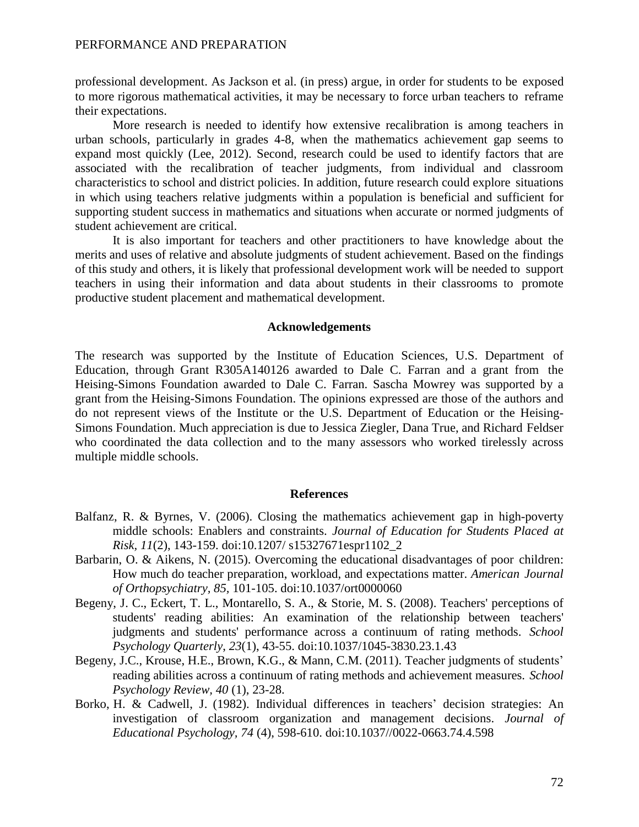professional development. As Jackson et al. (in press) argue, in order for students to be exposed to more rigorous mathematical activities, it may be necessary to force urban teachers to reframe their expectations.

More research is needed to identify how extensive recalibration is among teachers in urban schools, particularly in grades 4-8, when the mathematics achievement gap seems to expand most quickly (Lee, 2012). Second, research could be used to identify factors that are associated with the recalibration of teacher judgments, from individual and classroom characteristics to school and district policies. In addition, future research could explore situations in which using teachers relative judgments within a population is beneficial and sufficient for supporting student success in mathematics and situations when accurate or normed judgments of student achievement are critical.

It is also important for teachers and other practitioners to have knowledge about the merits and uses of relative and absolute judgments of student achievement. Based on the findings of this study and others, it is likely that professional development work will be needed to support teachers in using their information and data about students in their classrooms to promote productive student placement and mathematical development.

# **Acknowledgements**

The research was supported by the Institute of Education Sciences, U.S. Department of Education, through Grant R305A140126 awarded to Dale C. Farran and a grant from the Heising-Simons Foundation awarded to Dale C. Farran. Sascha Mowrey was supported by a grant from the Heising-Simons Foundation. The opinions expressed are those of the authors and do not represent views of the Institute or the U.S. Department of Education or the Heising-Simons Foundation. Much appreciation is due to Jessica Ziegler, Dana True, and Richard Feldser who coordinated the data collection and to the many assessors who worked tirelessly across multiple middle schools.

#### **References**

- Balfanz, R. & Byrnes, V. (2006). Closing the mathematics achievement gap in high-poverty middle schools: Enablers and constraints. *Journal of Education for Students Placed at Risk, 11*(2), 143-159. doi:10.1207/ s15327671espr1102\_2
- Barbarin, O. & Aikens, N. (2015). Overcoming the educational disadvantages of poor children: How much do teacher preparation, workload, and expectations matter. *American Journal of Orthopsychiatry, 85,* 101-105. doi:10.1037/ort0000060
- Begeny, J. C., Eckert, T. L., Montarello, S. A., & Storie, M. S. (2008). Teachers' perceptions of students' reading abilities: An examination of the relationship between teachers' judgments and students' performance across a continuum of rating methods. *School Psychology Quarterly*, *23*(1), 43-55. doi:10.1037/1045-3830.23.1.43
- Begeny, J.C., Krouse, H.E., Brown, K.G., & Mann, C.M. (2011). Teacher judgments of students' reading abilities across a continuum of rating methods and achievement measures. *School Psychology Review, 40* (1), 23-28.
- Borko, H. & Cadwell, J. (1982). Individual differences in teachers' decision strategies: An investigation of classroom organization and management decisions. *Journal of Educational Psychology, 74* (4), 598-610. doi:10.1037//0022-0663.74.4.598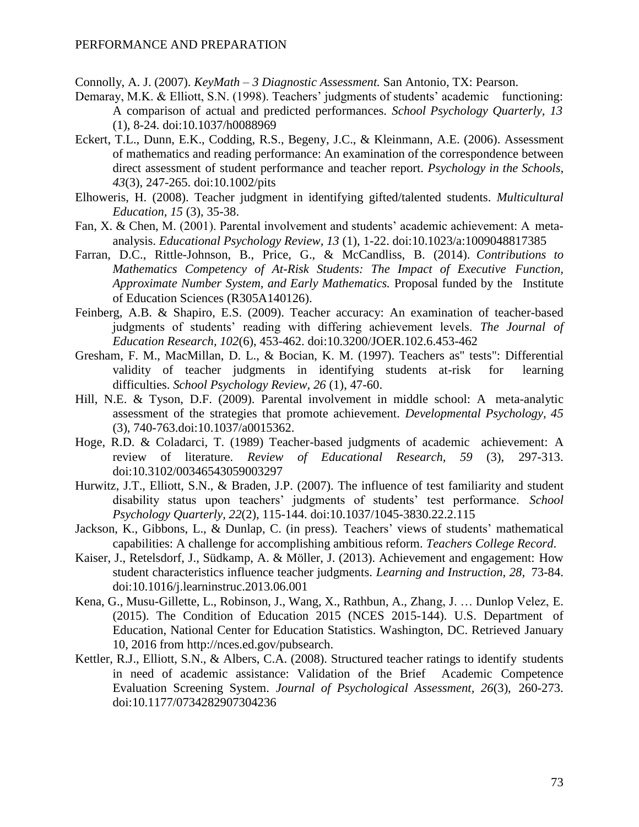Connolly, A. J. (2007). *KeyMath – 3 Diagnostic Assessment.* San Antonio, TX: Pearson.

- Demaray, M.K. & Elliott, S.N. (1998). Teachers' judgments of students' academic functioning: A comparison of actual and predicted performances. *School Psychology Quarterly, 13* (1), 8-24. doi:10.1037/h0088969
- Eckert, T.L., Dunn, E.K., Codding, R.S., Begeny, J.C., & Kleinmann, A.E. (2006). Assessment of mathematics and reading performance: An examination of the correspondence between direct assessment of student performance and teacher report. *Psychology in the Schools, 43*(3), 247-265. doi:10.1002/pits
- Elhoweris, H. (2008). Teacher judgment in identifying gifted/talented students. *Multicultural Education, 15* (3), 35-38.
- Fan, X. & Chen, M. (2001). Parental involvement and students' academic achievement: A metaanalysis. *Educational Psychology Review, 13* (1), 1-22. doi:10.1023/a:1009048817385
- Farran, D.C., Rittle-Johnson, B., Price, G., & McCandliss, B. (2014). *Contributions to Mathematics Competency of At-Risk Students: The Impact of Executive Function, Approximate Number System, and Early Mathematics.* Proposal funded by the Institute of Education Sciences (R305A140126).
- Feinberg, A.B. & Shapiro, E.S. (2009). Teacher accuracy: An examination of teacher-based judgments of students' reading with differing achievement levels. *The Journal of Education Research, 102*(6), 453-462. doi:10.3200/JOER.102.6.453-462
- Gresham, F. M., MacMillan, D. L., & Bocian, K. M. (1997). Teachers as" tests": Differential validity of teacher judgments in identifying students at-risk for learning difficulties. *School Psychology Review, 26* (1), 47-60.
- Hill, N.E. & Tyson, D.F. (2009). Parental involvement in middle school: A meta-analytic assessment of the strategies that promote achievement. *Developmental Psychology, 45*  (3), 740-763.doi:10.1037/a0015362.
- Hoge, R.D. & Coladarci, T. (1989) Teacher-based judgments of academic achievement: A review of literature. *Review of Educational Research, 59* (3), 297-313. doi:10.3102/00346543059003297
- Hurwitz, J.T., Elliott, S.N., & Braden, J.P. (2007). The influence of test familiarity and student disability status upon teachers' judgments of students' test performance. *School Psychology Quarterly, 22*(2), 115-144. doi:10.1037/1045-3830.22.2.115
- Jackson, K., Gibbons, L., & Dunlap, C. (in press). Teachers' views of students' mathematical capabilities: A challenge for accomplishing ambitious reform. *Teachers College Record*.
- Kaiser, J., Retelsdorf, J., Südkamp, A. & Möller, J. (2013). Achievement and engagement: How student characteristics influence teacher judgments. *Learning and Instruction, 28*, 73-84. doi:10.1016/j.learninstruc.2013.06.001
- Kena, G., Musu-Gillette, L., Robinson, J., Wang, X., Rathbun, A., Zhang, J. … Dunlop Velez, E. (2015). The Condition of Education 2015 (NCES 2015-144). U.S. Department of Education, National Center for Education Statistics. Washington, DC. Retrieved January 10, 2016 from [http://nces.ed.gov/pubsearch.](http://nces.ed.gov/pubsearch)
- Kettler, R.J., Elliott, S.N., & Albers, C.A. (2008). Structured teacher ratings to identify students in need of academic assistance: Validation of the Brief Academic Competence Evaluation Screening System. *Journal of Psychological Assessment, 26*(3), 260-273. doi:10.1177/0734282907304236